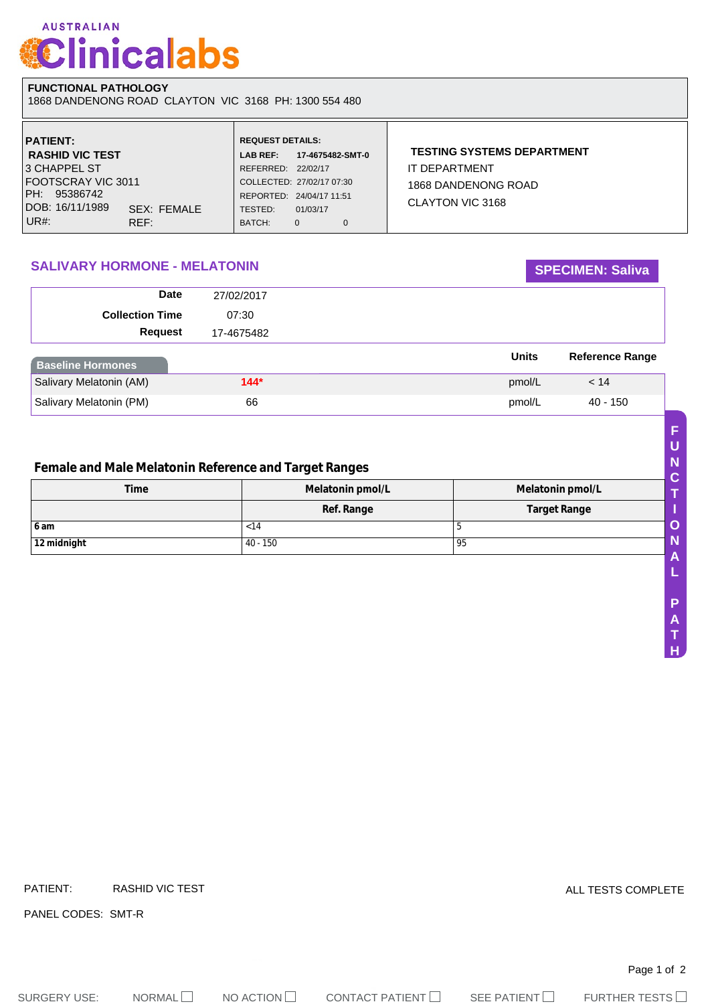# **AUSTRALIAN Clinicalabs**

#### **FUNCTIONAL PATHOLOGY**  1868 DANDENONG ROAD CLAYTON VIC 3168 PH: 1300 554 480

| <b>PATIENT:</b>                | <b>REQUEST DETAILS:</b>   |                  |              |                                   |  |
|--------------------------------|---------------------------|------------------|--------------|-----------------------------------|--|
| <b>RASHID VIC TEST</b>         | <b>LAB REF:</b>           | 17-4675482-SMT-0 |              | <b>TESTING SYSTEMS DEPARTMENT</b> |  |
| 3 CHAPPEL ST                   | REFERRED: 22/02/17        |                  |              | IT DEPARTMENT                     |  |
| FOOTSCRAY VIC 3011             | COLLECTED: 27/02/17 07:30 |                  |              | 1868 DANDENONG ROAD               |  |
| PH: 95386742                   | REPORTED: 24/04/17 11:51  |                  |              | CLAYTON VIC 3168                  |  |
| DOB: 16/11/1989<br>SEX: FEMALE | TESTED:                   | 01/03/17         |              |                                   |  |
| $UR#$ :<br>REF:                | BATCH:                    | 0                | $\mathbf{0}$ |                                   |  |

## **SALIVARY HORMONE - MELATONIN SALIVARY HORMONE - MELATONIN**

#### **Request Date Collection Time** 27/02/2017 07:30 17-4675482 **Baseline Hormones Units Reference Range** Salivary Melatonin (AM) **144<sup>\*</sup> 144<sup>\*</sup> 145 pmol/L 144**<sup>\*</sup> **146 pmol/L 14** Salivary Melatonin (PM) 66 6 pmol/L 40 - 150

## **Female and Male Melatonin Reference and Target Ranges**

| <b>Time</b> | Melatonin pmol/L<br>Melatonin pmol/L |                     |
|-------------|--------------------------------------|---------------------|
|             | Ref. Range                           | <b>Target Range</b> |
| l 6 am      | < 14                                 | ັ                   |
| 12 midnight | 40 - 150                             | 95                  |

**H**

Page 1 of 2 PATIENT: RASHID VIC TEST PANEL CODES: SMT-R ALL TESTS COMPLETE

SURGERY USE: NORMAL NO ACTION  $\Box$  CONTACT PATIENT  $\Box$  SEE PATIENT  $\Box$  FURTHER TESTS  $\Box$